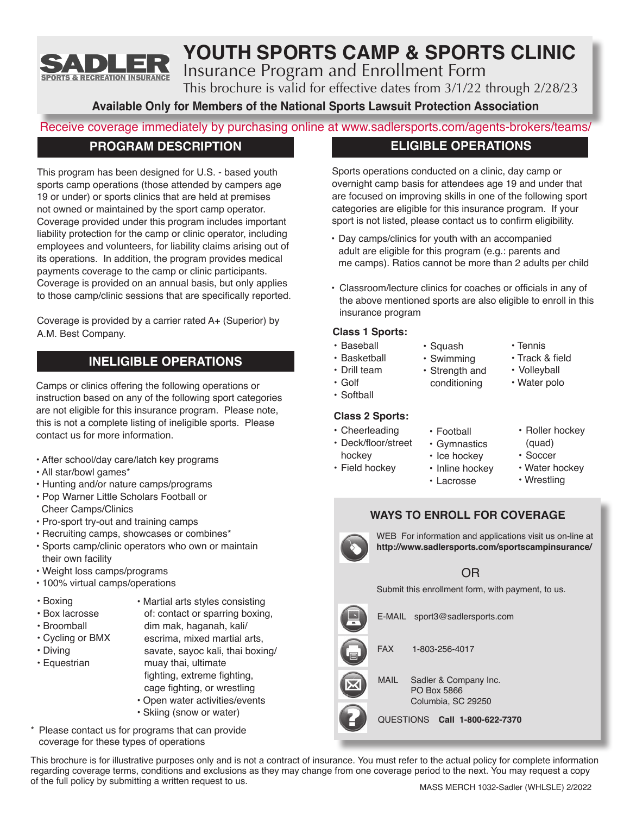

# **YOUTH SPORTS CAMP & SPORTS CLINIC**

Insurance Program and Enrollment Form

This brochure is valid for effective dates from 3/1/22 through 2/28/23

**Available Only for Members of the National Sports Lawsuit Protection Association**

# Receive coverage immediately by purchasing online at www.sadlersports.com/agents-brokers/teams/

# **PROGRAM DESCRIPTION**

This program has been designed for U.S. - based youth sports camp operations (those attended by campers age 19 or under) or sports clinics that are held at premises not owned or maintained by the sport camp operator. Coverage provided under this program includes important liability protection for the camp or clinic operator, including employees and volunteers, for liability claims arising out of its operations. In addition, the program provides medical payments coverage to the camp or clinic participants. Coverage is provided on an annual basis, but only applies to those camp/clinic sessions that are specifically reported.

Coverage is provided by a carrier rated A+ (Superior) by A.M. Best Company.

# **INELIGIBLE OPERATIONS**

Camps or clinics offering the following operations or instruction based on any of the following sport categories are not eligible for this insurance program. Please note, this is not a complete listing of ineligible sports. Please contact us for more information.

- After school/day care/latch key programs
- All star/bowl games\*
- Hunting and/or nature camps/programs
- Pop Warner Little Scholars Football or Cheer Camps/Clinics
- Pro-sport try-out and training camps
- Recruiting camps, showcases or combines\*
- Sports camp/clinic operators who own or maintain their own facility
- Weight loss camps/programs
- 100% virtual camps/operations
- Boxing
- Box lacrosse
- Broomball

• Equestrian

- Cycling or BMX
- Diving

dim mak, haganah, kali/ escrima, mixed martial arts, savate, sayoc kali, thai boxing/ muay thai, ultimate fighting, extreme fighting, cage fighting, or wrestling

• Martial arts styles consisting of: contact or sparring boxing,

- Open water activities/events
- Skiing (snow or water)
- \* Please contact us for programs that can provide coverage for these types of operations

This brochure is for illustrative purposes only and is not a contract of insurance. You must refer to the actual policy for complete information regarding coverage terms, conditions and exclusions as they may change from one coverage period to the next. You may request a copy of the full policy by submitting a written request to us.

# **ELIGIBLE OPERATIONS**

Sports operations conducted on a clinic, day camp or overnight camp basis for attendees age 19 and under that are focused on improving skills in one of the following sport categories are eligible for this insurance program. If your sport is not listed, please contact us to confirm eligibility.

- Day camps/clinics for youth with an accompanied adult are eligible for this program (e.g.: parents and me camps). Ratios cannot be more than 2 adults per child
- Classroom/lecture clinics for coaches or officials in any of the above mentioned sports are also eligible to enroll in this insurance program

## **Class 1 Sports:**

- Baseball
- Basketball
	- Strength and
- Golf

## **Class 2 Sports:**

- Cheerleading
- Deck/floor/street hockey
- Field hockey
- Tennis
- Track & field
- Volleyball
- Water polo
	- Roller hockey (quad)
	- Soccer
	- Water hockey • Wrestling
- Inline hockey • Lacrosse

• Football • Gymnastics • Ice hockey

conditioning

• Squash • Swimming

## **WAYS TO ENROLL FOR COVERAGE**

WEB For information and applications visit us on-line at **http://www.sadlersports.com/sportscampinsurance/**

# OR

Submit this enrollment form, with payment, to us.

FAX 1-803-256-4017 MAIL Sadler & Company Inc. PO Box 5866 Columbia, SC 29250 E-MAIL sport3@sadlersports.com QUESTIONS **Call 1-800-622-7370**

• Softball

• Drill team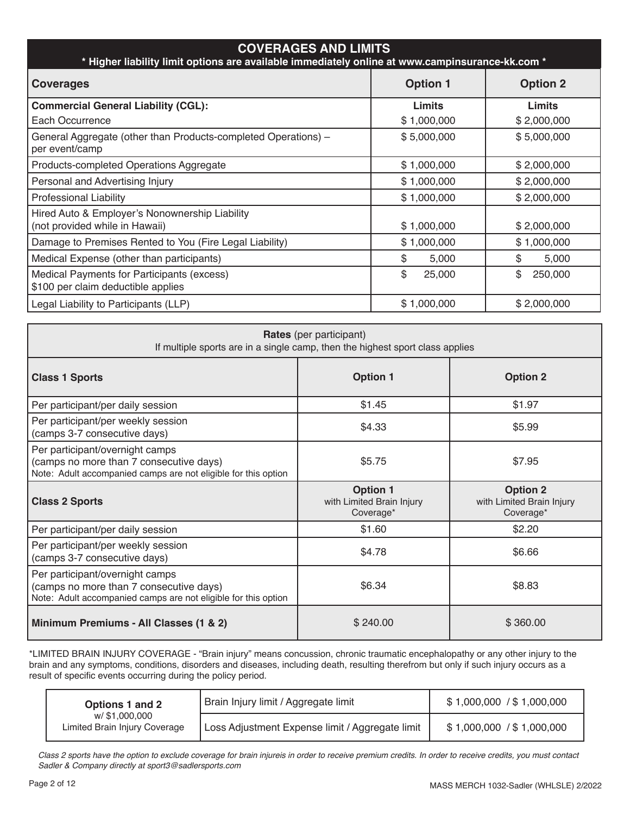| <b>COVERAGES AND LIMITS</b><br>* Higher liability limit options are available immediately online at www.campinsurance-kk.com * |                 |                 |  |  |
|--------------------------------------------------------------------------------------------------------------------------------|-----------------|-----------------|--|--|
| <b>Coverages</b>                                                                                                               | <b>Option 1</b> | <b>Option 2</b> |  |  |
| <b>Commercial General Liability (CGL):</b>                                                                                     | Limits          | <b>Limits</b>   |  |  |
| Each Occurrence                                                                                                                | \$1,000,000     | \$2,000,000     |  |  |
| General Aggregate (other than Products-completed Operations) -<br>per event/camp                                               | \$5,000,000     | \$5,000,000     |  |  |
| Products-completed Operations Aggregate                                                                                        | \$1,000,000     | \$2,000,000     |  |  |
| Personal and Advertising Injury                                                                                                | \$1,000,000     | \$2,000,000     |  |  |
| <b>Professional Liability</b>                                                                                                  | \$1,000,000     | \$2,000,000     |  |  |
| Hired Auto & Employer's Nonownership Liability<br>(not provided while in Hawaii)                                               | \$1,000,000     | \$2,000,000     |  |  |
| Damage to Premises Rented to You (Fire Legal Liability)                                                                        | \$1,000,000     | \$1,000,000     |  |  |
| Medical Expense (other than participants)                                                                                      | \$<br>5,000     | \$<br>5,000     |  |  |
| Medical Payments for Participants (excess)<br>\$100 per claim deductible applies                                               | \$<br>25,000    | \$<br>250,000   |  |  |
| Legal Liability to Participants (LLP)                                                                                          | \$1,000,000     | \$2,000,000     |  |  |

| <b>Rates</b> (per participant)<br>If multiple sports are in a single camp, then the highest sport class applies                              |                                                           |                                                           |  |  |
|----------------------------------------------------------------------------------------------------------------------------------------------|-----------------------------------------------------------|-----------------------------------------------------------|--|--|
| <b>Class 1 Sports</b>                                                                                                                        | <b>Option 1</b>                                           | <b>Option 2</b>                                           |  |  |
| Per participant/per daily session                                                                                                            | \$1.45                                                    | \$1.97                                                    |  |  |
| Per participant/per weekly session<br>(camps 3-7 consecutive days)                                                                           | \$4.33                                                    | \$5.99                                                    |  |  |
| Per participant/overnight camps<br>(camps no more than 7 consecutive days)<br>Note: Adult accompanied camps are not eligible for this option | \$5.75                                                    | \$7.95                                                    |  |  |
| <b>Class 2 Sports</b>                                                                                                                        | <b>Option 1</b><br>with Limited Brain Injury<br>Coverage* | <b>Option 2</b><br>with Limited Brain Injury<br>Coverage* |  |  |
| Per participant/per daily session                                                                                                            | \$1.60                                                    | \$2.20                                                    |  |  |
| Per participant/per weekly session<br>(camps 3-7 consecutive days)                                                                           | \$4.78                                                    | \$6.66                                                    |  |  |
| Per participant/overnight camps<br>(camps no more than 7 consecutive days)<br>Note: Adult accompanied camps are not eligible for this option | \$6.34                                                    | \$8.83                                                    |  |  |
| Minimum Premiums - All Classes (1 & 2)                                                                                                       | \$240.00                                                  | \$360.00                                                  |  |  |

\*LIMITED BRAIN INJURY COVERAGE - "Brain injury" means concussion, chronic traumatic encephalopathy or any other injury to the brain and any symptoms, conditions, disorders and diseases, including death, resulting therefrom but only if such injury occurs as a result of specific events occurring during the policy period.

| Options 1 and 2                                | Brain Injury limit / Aggregate limit            | \$1,000,000 / \$1,000,000 |
|------------------------------------------------|-------------------------------------------------|---------------------------|
| w/\$1.000.000<br>Limited Brain Injury Coverage | Loss Adjustment Expense limit / Aggregate limit | \$1,000,000 / \$1,000,000 |

*Class 2 sports have the option to exclude coverage for brain injureis in order to receive premium credits. In order to receive credits, you must contact Sadler & Company directly at sport3@sadlersports.com*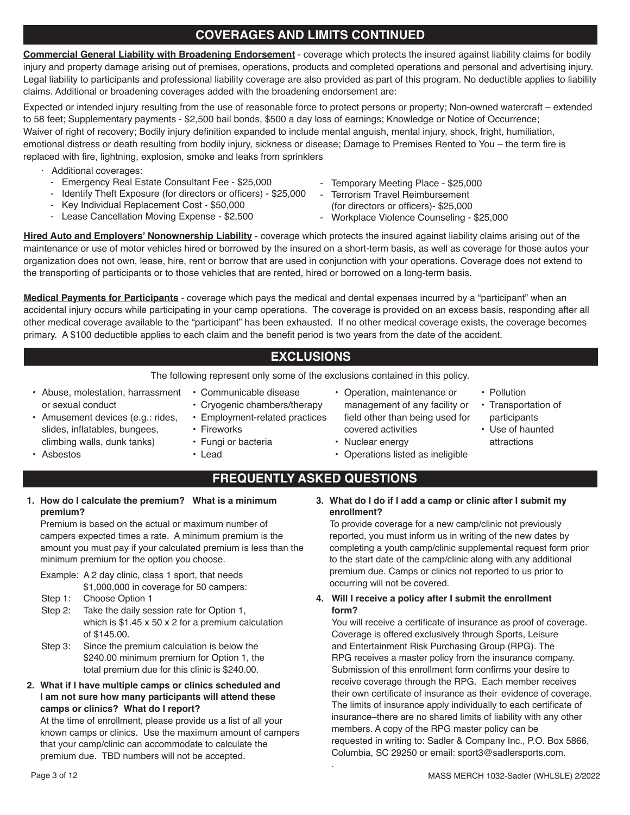# **COVERAGES AND LIMITS CONTINUED**

**Commercial General Liability with Broadening Endorsement** - coverage which protects the insured against liability claims for bodily injury and property damage arising out of premises, operations, products and completed operations and personal and advertising injury. Legal liability to participants and professional liability coverage are also provided as part of this program. No deductible applies to liability claims. Additional or broadening coverages added with the broadening endorsement are:

Expected or intended injury resulting from the use of reasonable force to protect persons or property; Non-owned watercraft – extended to 58 feet; Supplementary payments - \$2,500 bail bonds, \$500 a day loss of earnings; Knowledge or Notice of Occurrence; Waiver of right of recovery; Bodily injury definition expanded to include mental anguish, mental injury, shock, fright, humiliation, emotional distress or death resulting from bodily injury, sickness or disease; Damage to Premises Rented to You – the term fire is replaced with fire, lightning, explosion, smoke and leaks from sprinklers

- · Additional coverages:
	- Emergency Real Estate Consultant Fee \$25,000
	- Identify Theft Exposure (for directors or officers) \$25,000
	- Key Individual Replacement Cost \$50,000
	- Lease Cancellation Moving Expense \$2,500
- Temporary Meeting Place \$25,000
- Terrorism Travel Reimbursement
- (for directors or officers)- \$25,000
- Workplace Violence Counseling \$25,000

**Hired Auto and Employers' Nonownership Liability** - coverage which protects the insured against liability claims arising out of the maintenance or use of motor vehicles hired or borrowed by the insured on a short-term basis, as well as coverage for those autos your organization does not own, lease, hire, rent or borrow that are used in conjunction with your operations. Coverage does not extend to the transporting of participants or to those vehicles that are rented, hired or borrowed on a long-term basis.

**Medical Payments for Participants** - coverage which pays the medical and dental expenses incurred by a "participant" when an accidental injury occurs while participating in your camp operations. The coverage is provided on an excess basis, responding after all other medical coverage available to the "participant" has been exhausted. If no other medical coverage exists, the coverage becomes primary. A \$100 deductible applies to each claim and the benefit period is two years from the date of the accident.

# **EXCLUSIONS**

The following represent only some of the exclusions contained in this policy.

- Abuse, molestation, harrassment or sexual conduct
- Communicable disease
- Cryogenic chambers/therapy
- Employment-related practices
- Fireworks
- Fungi or bacteria
- Lead
- Operation, maintenance or management of any facility or field other than being used for covered activities
- Nuclear energy
- Operations listed as ineligible
- Pollution
- Transportation of participants
- Use of haunted attractions
- Amusement devices (e.g.: rides, slides, inflatables, bungees, climbing walls, dunk tanks)
- Asbestos

# **FREQUENTLY ASKED QUESTIONS**

.

**1. How do I calculate the premium? What is a minimum premium?**

Premium is based on the actual or maximum number of campers expected times a rate. A minimum premium is the amount you must pay if your calculated premium is less than the minimum premium for the option you choose.

Example: A 2 day clinic, class 1 sport, that needs

- \$1,000,000 in coverage for 50 campers:
- Step 1: Choose Option 1
- Step 2: Take the daily session rate for Option 1, which is \$1.45 x 50 x 2 for a premium calculation of \$145.00.
- Step 3: Since the premium calculation is below the \$240.00 minimum premium for Option 1, the total premium due for this clinic is \$240.00.
- **2. What if I have multiple camps or clinics scheduled and I am not sure how many participants will attend these camps or clinics? What do I report?**

At the time of enrollment, please provide us a list of all your known camps or clinics. Use the maximum amount of campers that your camp/clinic can accommodate to calculate the premium due. TBD numbers will not be accepted.

**3. What do I do if I add a camp or clinic after I submit my enrollment?**

To provide coverage for a new camp/clinic not previously reported, you must inform us in writing of the new dates by completing a youth camp/clinic supplemental request form prior to the start date of the camp/clinic along with any additional premium due. Camps or clinics not reported to us prior to occurring will not be covered.

### **4. Will I receive a policy after I submit the enrollment form?**

You will receive a certificate of insurance as proof of coverage. Coverage is offered exclusively through Sports, Leisure and Entertainment Risk Purchasing Group (RPG). The RPG receives a master policy from the insurance company. Submission of this enrollment form confirms your desire to receive coverage through the RPG. Each member receives their own certificate of insurance as their evidence of coverage. The limits of insurance apply individually to each certificate of insurance–there are no shared limits of liability with any other members. A copy of the RPG master policy can be requested in writing to: Sadler & Company Inc., P.O. Box 5866, Columbia, SC 29250 or email: sport3@sadlersports.com.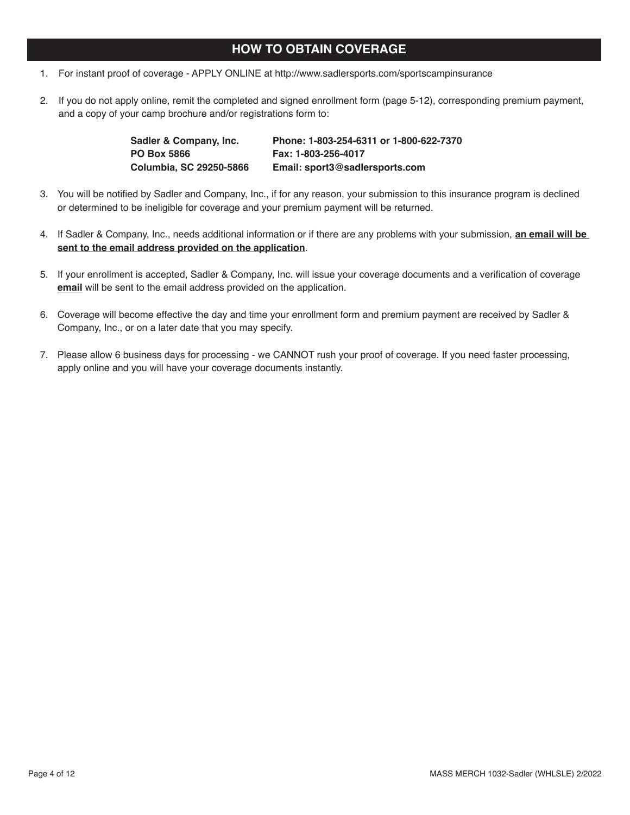## **HOW TO OBTAIN COVERAGE**

- 1. For instant proof of coverage APPLY ONLINE at http://www.sadlersports.com/sportscampinsurance
- 2. If you do not apply online, remit the completed and signed enrollment form (page 5-12), corresponding premium payment, and a copy of your camp brochure and/or registrations form to:

| Sadler & Company, Inc.  | Phone: 1-803-254-6311 or 1-800-622-7370 |
|-------------------------|-----------------------------------------|
| <b>PO Box 5866</b>      | Fax: 1-803-256-4017                     |
| Columbia, SC 29250-5866 | Email: sport3@sadlersports.com          |

- 3. You will be notified by Sadler and Company, Inc., if for any reason, your submission to this insurance program is declined or determined to be ineligible for coverage and your premium payment will be returned.
- 4. If Sadler & Company, Inc., needs additional information or if there are any problems with your submission, **an email will be sent to the email address provided on the application**.
- 5. If your enrollment is accepted, Sadler & Company, Inc. will issue your coverage documents and a verification of coverage **email** will be sent to the email address provided on the application.
- 6. Coverage will become effective the day and time your enrollment form and premium payment are received by Sadler & Company, Inc., or on a later date that you may specify.
- 7. Please allow 6 business days for processing we CANNOT rush your proof of coverage. If you need faster processing, apply online and you will have your coverage documents instantly.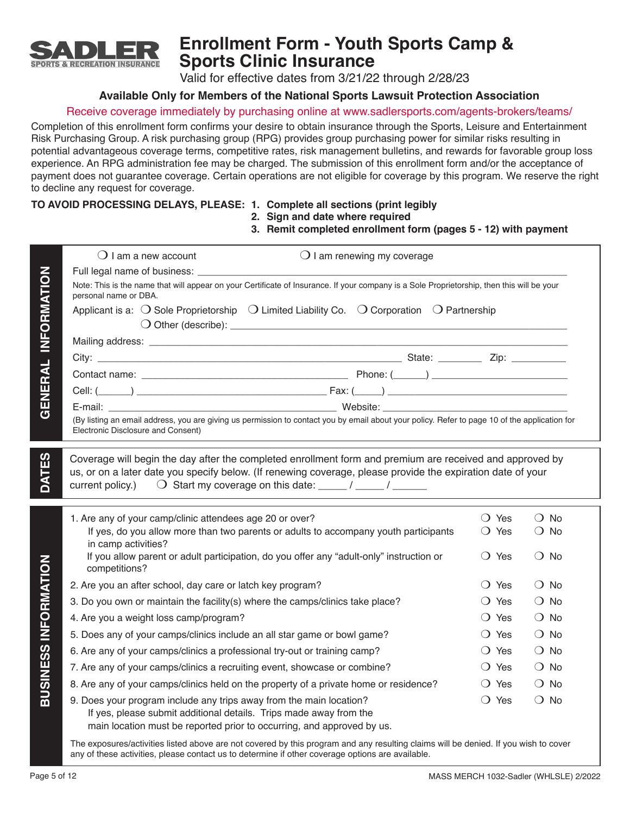

# **Enrollment Form - Youth Sports Camp & Sports Clinic Insurance**

Valid for effective dates from 3/21/22 through 2/28/23

## **Available Only for Members of the National Sports Lawsuit Protection Association**

## Receive coverage immediately by purchasing online at www.sadlersports.com/agents-brokers/teams/

Completion of this enrollment form confirms your desire to obtain insurance through the Sports, Leisure and Entertainment Risk Purchasing Group. A risk purchasing group (RPG) provides group purchasing power for similar risks resulting in potential advantageous coverage terms, competitive rates, risk management bulletins, and rewards for favorable group loss experience. An RPG administration fee may be charged. The submission of this enrollment form and/or the acceptance of payment does not guarantee coverage. Certain operations are not eligible for coverage by this program. We reserve the right to decline any request for coverage.

## **TO AVOID PROCESSING DELAYS, PLEASE: 1. Complete all sections (print legibly**

# **2. Sign and date where required**

## **3. Remit completed enrollment form (pages 5 - 12) with payment**

|                             | $\bigcirc$ I am a new account                                                                                                                                                                                                           | $\bigcirc$ I am renewing my coverage |                                  |                                |
|-----------------------------|-----------------------------------------------------------------------------------------------------------------------------------------------------------------------------------------------------------------------------------------|--------------------------------------|----------------------------------|--------------------------------|
|                             |                                                                                                                                                                                                                                         |                                      |                                  |                                |
| GENERAL INFORMATION         | Note: This is the name that will appear on your Certificate of Insurance. If your company is a Sole Proprietorship, then this will be your<br>personal name or DBA.                                                                     |                                      |                                  |                                |
|                             | Applicant is a: $\bigcirc$ Sole Proprietorship $\bigcirc$ Limited Liability Co. $\bigcirc$ Corporation $\bigcirc$ Partnership                                                                                                           |                                      |                                  |                                |
|                             |                                                                                                                                                                                                                                         |                                      |                                  |                                |
|                             |                                                                                                                                                                                                                                         |                                      |                                  |                                |
|                             |                                                                                                                                                                                                                                         |                                      |                                  |                                |
|                             |                                                                                                                                                                                                                                         |                                      |                                  |                                |
|                             |                                                                                                                                                                                                                                         |                                      |                                  |                                |
|                             | (By listing an email address, you are giving us permission to contact you by email about your policy. Refer to page 10 of the application for                                                                                           |                                      |                                  |                                |
|                             | Electronic Disclosure and Consent)                                                                                                                                                                                                      |                                      |                                  |                                |
|                             | 1. Are any of your camp/clinic attendees age 20 or over?<br>If yes, do you allow more than two parents or adults to accompany youth participants                                                                                        |                                      | $\bigcirc$ Yes<br>$\bigcirc$ Yes | $\bigcirc$ No<br>$\bigcirc$ No |
|                             | in camp activities?<br>If you allow parent or adult participation, do you offer any "adult-only" instruction or                                                                                                                         |                                      | $\bigcirc$ Yes                   | $\bigcirc$ No                  |
|                             | competitions?                                                                                                                                                                                                                           |                                      |                                  |                                |
|                             | 2. Are you an after school, day care or latch key program?                                                                                                                                                                              |                                      | $\bigcirc$ Yes                   | $\bigcirc$ No                  |
|                             | 3. Do you own or maintain the facility(s) where the camps/clinics take place?                                                                                                                                                           |                                      | ◯ Yes                            | $\bigcirc$ No                  |
|                             | 4. Are you a weight loss camp/program?                                                                                                                                                                                                  |                                      | $\bigcirc$ Yes                   | $\bigcirc$ No                  |
|                             | 5. Does any of your camps/clinics include an all star game or bowl game?                                                                                                                                                                |                                      | $\bigcirc$ Yes                   | $\bigcirc$ No                  |
| <b>BUSINESS INFORMATION</b> | 6. Are any of your camps/clinics a professional try-out or training camp?                                                                                                                                                               |                                      | ◯ Yes                            | $\bigcirc$ No                  |
|                             | 7. Are any of your camps/clinics a recruiting event, showcase or combine?                                                                                                                                                               |                                      | $\bigcirc$ Yes                   | $\bigcirc$ No                  |
|                             | 8. Are any of your camps/clinics held on the property of a private home or residence?                                                                                                                                                   |                                      | $\bigcirc$ Yes                   | $\bigcirc$ No                  |
|                             | 9. Does your program include any trips away from the main location?<br>If yes, please submit additional details. Trips made away from the<br>main location must be reported prior to occurring, and approved by us.                     |                                      | $\bigcirc$ Yes                   | $\bigcirc$ No                  |
|                             | The exposures/activities listed above are not covered by this program and any resulting claims will be denied. If you wish to cover<br>any of these activities, please contact us to determine if other coverage options are available. |                                      |                                  |                                |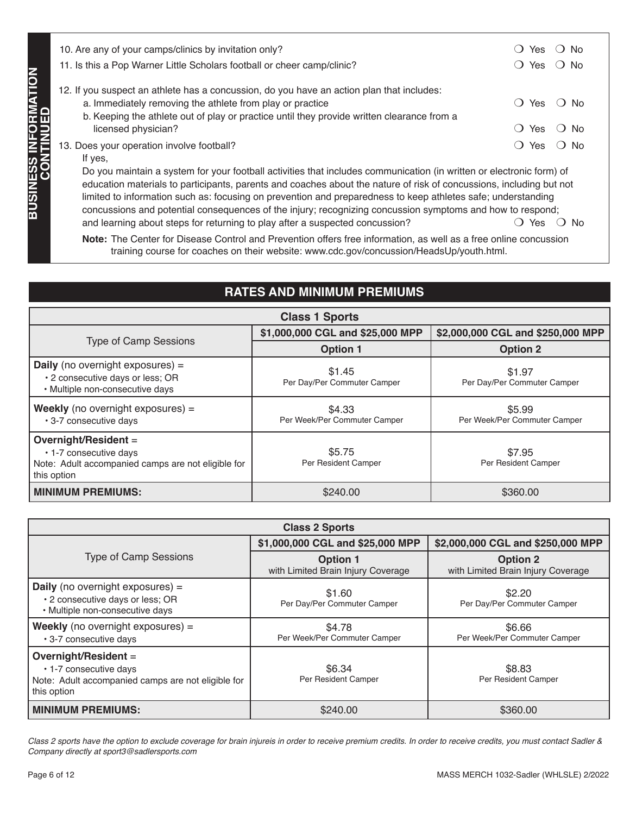| 10. Are any of your camps/clinics by invitation only?<br>11. Is this a Pop Warner Little Scholars football or cheer camp/clinic?                                                                                                                                                                                                                                                                                                                                                                                                                                                                                                                                                        | <b>Yes</b><br>ີ No<br>Yes<br>$\overline{\phantom{a}}$   |  |  |
|-----------------------------------------------------------------------------------------------------------------------------------------------------------------------------------------------------------------------------------------------------------------------------------------------------------------------------------------------------------------------------------------------------------------------------------------------------------------------------------------------------------------------------------------------------------------------------------------------------------------------------------------------------------------------------------------|---------------------------------------------------------|--|--|
| 12. If you suspect an athlete has a concussion, do you have an action plan that includes:<br>a. Immediately removing the athlete from play or practice<br>b. Keeping the athlete out of play or practice until they provide written clearance from a<br>licensed physician?                                                                                                                                                                                                                                                                                                                                                                                                             | Yes<br>$\Box$<br>N∩<br>Yes<br>$\left( \right)$<br>(J No |  |  |
| コ<br>ニュー<br>13. Does your operation involve football?<br>Yes<br>$\ddot{\phantom{1}}$<br>No.<br><b>ZOU</b><br>If yes,<br>Do you maintain a system for your football activities that includes communication (in written or electronic form) of<br>education materials to participants, parents and coaches about the nature of risk of concussions, including but not<br>limited to information such as: focusing on prevention and preparedness to keep athletes safe; understanding<br>concussions and potential consequences of the injury; recognizing concussion symptoms and how to respond;<br>and learning about steps for returning to play after a suspected concussion?<br>Yes |                                                         |  |  |

# **RATES AND MINIMUM PREMIUMS**

| <b>Class 1 Sports</b>                                                                                               |                                        |                                        |  |  |
|---------------------------------------------------------------------------------------------------------------------|----------------------------------------|----------------------------------------|--|--|
|                                                                                                                     | \$1,000,000 CGL and \$25,000 MPP       | \$2,000,000 CGL and \$250,000 MPP      |  |  |
| <b>Type of Camp Sessions</b>                                                                                        | <b>Option 1</b>                        | <b>Option 2</b>                        |  |  |
| <b>Daily</b> (no overnight exposures) =<br>• 2 consecutive days or less; OR<br>• Multiple non-consecutive days      | \$1.45<br>Per Day/Per Commuter Camper  | \$1.97<br>Per Day/Per Commuter Camper  |  |  |
| <b>Weekly</b> (no overnight exposures) $=$<br>• 3-7 consecutive days                                                | \$4.33<br>Per Week/Per Commuter Camper | \$5.99<br>Per Week/Per Commuter Camper |  |  |
| Overnight/Resident =<br>• 1-7 consecutive days<br>Note: Adult accompanied camps are not eligible for<br>this option | \$5.75<br>Per Resident Camper          | \$7.95<br>Per Resident Camper          |  |  |
| <b>MINIMUM PREMIUMS:</b>                                                                                            | \$240.00                               | \$360.00                               |  |  |

| TT. IS this a Pop warner Little Scholars football or cheer camp/clinic?<br>YES V NO                                                                                                                                              |                                                                                                                                                                                                                                                                                                                                                                                                                                                                          |                                                       |  |  |  |  |
|----------------------------------------------------------------------------------------------------------------------------------------------------------------------------------------------------------------------------------|--------------------------------------------------------------------------------------------------------------------------------------------------------------------------------------------------------------------------------------------------------------------------------------------------------------------------------------------------------------------------------------------------------------------------------------------------------------------------|-------------------------------------------------------|--|--|--|--|
| 12. If you suspect an athlete has a concussion, do you have an action plan that includes:                                                                                                                                        |                                                                                                                                                                                                                                                                                                                                                                                                                                                                          |                                                       |  |  |  |  |
| a. Immediately removing the athlete from play or practice<br>$\bigcirc$ Yes<br>() No                                                                                                                                             |                                                                                                                                                                                                                                                                                                                                                                                                                                                                          |                                                       |  |  |  |  |
| licensed physician?                                                                                                                                                                                                              | b. Keeping the athlete out of play or practice until they provide written clearance from a<br>$\bigcirc$ Yes<br>() No                                                                                                                                                                                                                                                                                                                                                    |                                                       |  |  |  |  |
| 13. Does your operation involve football?                                                                                                                                                                                        |                                                                                                                                                                                                                                                                                                                                                                                                                                                                          | $\bigcirc$ Yes<br>() No                               |  |  |  |  |
| If yes,                                                                                                                                                                                                                          |                                                                                                                                                                                                                                                                                                                                                                                                                                                                          |                                                       |  |  |  |  |
| <b>BUSINESS INFORMATION<br/>CONTINUED</b><br>and learning about steps for returning to play after a suspected concussion?                                                                                                        | Do you maintain a system for your football activities that includes communication (in written or electronic form) of<br>education materials to participants, parents and coaches about the nature of risk of concussions, including but not<br>limited to information such as: focusing on prevention and preparedness to keep athletes safe; understanding<br>concussions and potential consequences of the injury; recognizing concussion symptoms and how to respond; | $\bigcirc$ Yes $\bigcirc$ No                          |  |  |  |  |
|                                                                                                                                                                                                                                  | Note: The Center for Disease Control and Prevention offers free information, as well as a free online concussion<br>training course for coaches on their website: www.cdc.gov/concussion/HeadsUp/youth.html.                                                                                                                                                                                                                                                             |                                                       |  |  |  |  |
|                                                                                                                                                                                                                                  |                                                                                                                                                                                                                                                                                                                                                                                                                                                                          |                                                       |  |  |  |  |
|                                                                                                                                                                                                                                  | <b>RATES AND MINIMUM PREMIUMS</b>                                                                                                                                                                                                                                                                                                                                                                                                                                        |                                                       |  |  |  |  |
|                                                                                                                                                                                                                                  | <b>Class 1 Sports</b>                                                                                                                                                                                                                                                                                                                                                                                                                                                    |                                                       |  |  |  |  |
| <b>Type of Camp Sessions</b>                                                                                                                                                                                                     | \$1,000,000 CGL and \$25,000 MPP                                                                                                                                                                                                                                                                                                                                                                                                                                         | \$2,000,000 CGL and \$250,000 MPP                     |  |  |  |  |
|                                                                                                                                                                                                                                  | <b>Option 1</b>                                                                                                                                                                                                                                                                                                                                                                                                                                                          | <b>Option 2</b>                                       |  |  |  |  |
| <b>Daily</b> (no overnight exposures) =<br>• 2 consecutive days or less; OR<br>· Multiple non-consecutive days                                                                                                                   | \$1.45<br>Per Day/Per Commuter Camper                                                                                                                                                                                                                                                                                                                                                                                                                                    | \$1.97<br>Per Day/Per Commuter Camper                 |  |  |  |  |
| <b>Weekly</b> (no overnight exposures) =<br>· 3-7 consecutive days                                                                                                                                                               | \$4.33<br>Per Week/Per Commuter Camper                                                                                                                                                                                                                                                                                                                                                                                                                                   | \$5.99<br>Per Week/Per Commuter Camper                |  |  |  |  |
| Overnight/Resident =<br>• 1-7 consecutive days<br>Note: Adult accompanied camps are not eligible for<br>this option                                                                                                              | \$5.75<br>Per Resident Camper                                                                                                                                                                                                                                                                                                                                                                                                                                            | \$7.95<br>Per Resident Camper                         |  |  |  |  |
| <b>MINIMUM PREMIUMS:</b>                                                                                                                                                                                                         | \$240.00                                                                                                                                                                                                                                                                                                                                                                                                                                                                 | \$360.00                                              |  |  |  |  |
|                                                                                                                                                                                                                                  |                                                                                                                                                                                                                                                                                                                                                                                                                                                                          |                                                       |  |  |  |  |
|                                                                                                                                                                                                                                  | <b>Class 2 Sports</b>                                                                                                                                                                                                                                                                                                                                                                                                                                                    |                                                       |  |  |  |  |
|                                                                                                                                                                                                                                  | \$1,000,000 CGL and \$25,000 MPP                                                                                                                                                                                                                                                                                                                                                                                                                                         | \$2,000,000 CGL and \$250,000 MPP                     |  |  |  |  |
| <b>Type of Camp Sessions</b>                                                                                                                                                                                                     | <b>Option 1</b><br>with Limited Brain Injury Coverage                                                                                                                                                                                                                                                                                                                                                                                                                    | <b>Option 2</b><br>with Limited Brain Injury Coverage |  |  |  |  |
| <b>Daily</b> (no overnight exposures) =<br>• 2 consecutive days or less; OR<br>· Multiple non-consecutive days                                                                                                                   | \$1.60<br>Per Day/Per Commuter Camper                                                                                                                                                                                                                                                                                                                                                                                                                                    | \$2.20<br>Per Day/Per Commuter Camper                 |  |  |  |  |
| <b>Weekly</b> (no overnight exposures) $=$<br>• 3-7 consecutive days                                                                                                                                                             | \$4.78<br>Per Week/Per Commuter Camper                                                                                                                                                                                                                                                                                                                                                                                                                                   | \$6.66<br>Per Week/Per Commuter Camper                |  |  |  |  |
| Overnight/Resident =                                                                                                                                                                                                             |                                                                                                                                                                                                                                                                                                                                                                                                                                                                          |                                                       |  |  |  |  |
| • 1-7 consecutive days<br>Note: Adult accompanied camps are not eligible for<br>this option                                                                                                                                      | \$6.34<br>Per Resident Camper                                                                                                                                                                                                                                                                                                                                                                                                                                            | \$8.83<br>Per Resident Camper                         |  |  |  |  |
| <b>MINIMUM PREMIUMS:</b>                                                                                                                                                                                                         | \$240.00                                                                                                                                                                                                                                                                                                                                                                                                                                                                 | \$360.00                                              |  |  |  |  |
| Class 2 sports have the option to exclude coverage for brain injureis in order to receive premium credits. In order to receive credits, you must contact Sadler &<br>Company directly at sport3@sadlersports.com<br>Page 6 of 12 |                                                                                                                                                                                                                                                                                                                                                                                                                                                                          | MASS MERCH 1032-Sadler (WHLSLE) 2/2022                |  |  |  |  |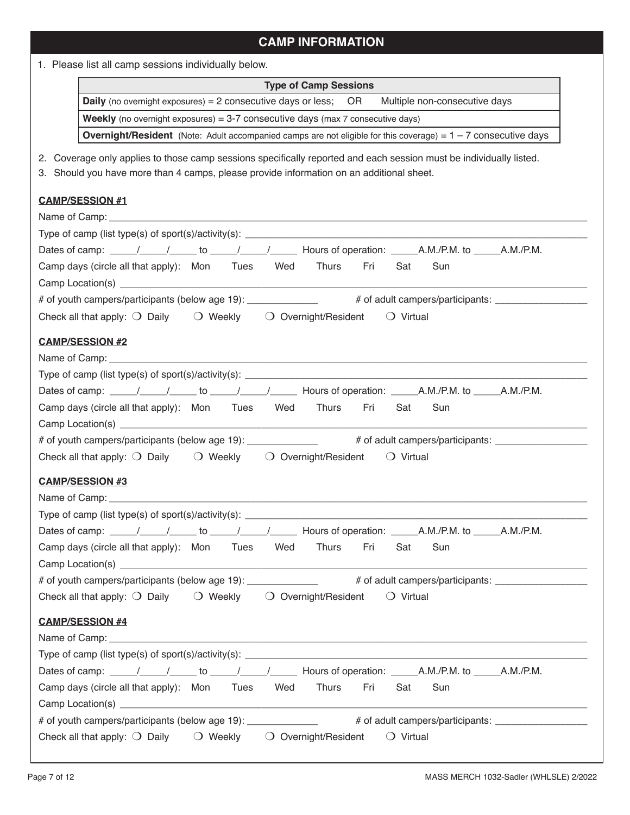# **CAMP INFORMATION**

1. Please list all camp sessions individually below.

| <b>Type of Camp Sessions</b>                                                                                                                                                                                                   |  |  |  |  |
|--------------------------------------------------------------------------------------------------------------------------------------------------------------------------------------------------------------------------------|--|--|--|--|
| <b>Daily</b> (no overnight exposures) = 2 consecutive days or less; OR Multiple non-consecutive days                                                                                                                           |  |  |  |  |
| <b>Weekly</b> (no overnight exposures) = $3-7$ consecutive days (max $7$ consecutive days)                                                                                                                                     |  |  |  |  |
| <b>Overnight/Resident</b> (Note: Adult accompanied camps are not eligible for this coverage) = $1 - 7$ consecutive days                                                                                                        |  |  |  |  |
| 2. Coverage only applies to those camp sessions specifically reported and each session must be individually listed.<br>3. Should you have more than 4 camps, please provide information on an additional sheet.                |  |  |  |  |
| <b>CAMP/SESSION #1</b>                                                                                                                                                                                                         |  |  |  |  |
|                                                                                                                                                                                                                                |  |  |  |  |
|                                                                                                                                                                                                                                |  |  |  |  |
|                                                                                                                                                                                                                                |  |  |  |  |
| Camp days (circle all that apply): Mon Tues Wed Thurs<br>Fri<br>Sun<br>Sat                                                                                                                                                     |  |  |  |  |
|                                                                                                                                                                                                                                |  |  |  |  |
| # of youth campers/participants (below age 19): _____________ # of adult campers/participants: _______________                                                                                                                 |  |  |  |  |
| Check all that apply: $\bigcirc$ Daily $\bigcirc$ Weekly $\bigcirc$ Overnight/Resident<br>$\bigcirc$ Virtual                                                                                                                   |  |  |  |  |
| <b>CAMP/SESSION #2</b>                                                                                                                                                                                                         |  |  |  |  |
|                                                                                                                                                                                                                                |  |  |  |  |
|                                                                                                                                                                                                                                |  |  |  |  |
|                                                                                                                                                                                                                                |  |  |  |  |
| Thurs<br>Camp days (circle all that apply): Mon Tues Wed<br>Fri<br>Sat<br>Sun                                                                                                                                                  |  |  |  |  |
|                                                                                                                                                                                                                                |  |  |  |  |
| # of youth campers/participants (below age 19): ______________ # of adult campers/participants: _______________                                                                                                                |  |  |  |  |
| Check all that apply: $\bigcirc$ Daily $\bigcirc$ Weekly $\bigcirc$ Overnight/Resident<br>$\bigcirc$ Virtual                                                                                                                   |  |  |  |  |
| <b>CAMP/SESSION #3</b>                                                                                                                                                                                                         |  |  |  |  |
|                                                                                                                                                                                                                                |  |  |  |  |
|                                                                                                                                                                                                                                |  |  |  |  |
| Dates of camp: _____/_____/______ to _____/______/________ Hours of operation: ______A.M./P.M. to _____A.M./P.M.                                                                                                               |  |  |  |  |
| Camp days (circle all that apply): Mon Tues Wed<br>Thurs<br>Fri<br>Sat<br>Sun                                                                                                                                                  |  |  |  |  |
|                                                                                                                                                                                                                                |  |  |  |  |
| # of youth campers/participants (below age 19): 40 m = 4.4 m = 4.4 m = 4.4 m = 4.4 m = 4.4 m = 4.4 m = 4.4 m = 4.4 m = 4.4 m = 4.4 m = 4.4 m = 4.4 m = 4.4 m = 4.4 m = 4.4 m = 4.4 m = 4.4 m = 4.4 m = 4.4 m = 4.4 m = 4.4 m = |  |  |  |  |
| Check all that apply: O Daily O Weekly O Overnight/Resident<br>$\bigcirc$ Virtual                                                                                                                                              |  |  |  |  |
|                                                                                                                                                                                                                                |  |  |  |  |
| <b>CAMP/SESSION #4</b>                                                                                                                                                                                                         |  |  |  |  |
|                                                                                                                                                                                                                                |  |  |  |  |
|                                                                                                                                                                                                                                |  |  |  |  |
| Thurs<br>Camp days (circle all that apply): Mon Tues Wed<br>Fri<br>Sat<br>Sun                                                                                                                                                  |  |  |  |  |
|                                                                                                                                                                                                                                |  |  |  |  |
| # of youth campers/participants (below age 19): ______________ # of adult campers/participants: ______________                                                                                                                 |  |  |  |  |
|                                                                                                                                                                                                                                |  |  |  |  |
| Check all that apply: $\bigcirc$ Daily $\bigcirc$ Weekly $\bigcirc$ Overnight/Resident<br>$\bigcirc$ Virtual                                                                                                                   |  |  |  |  |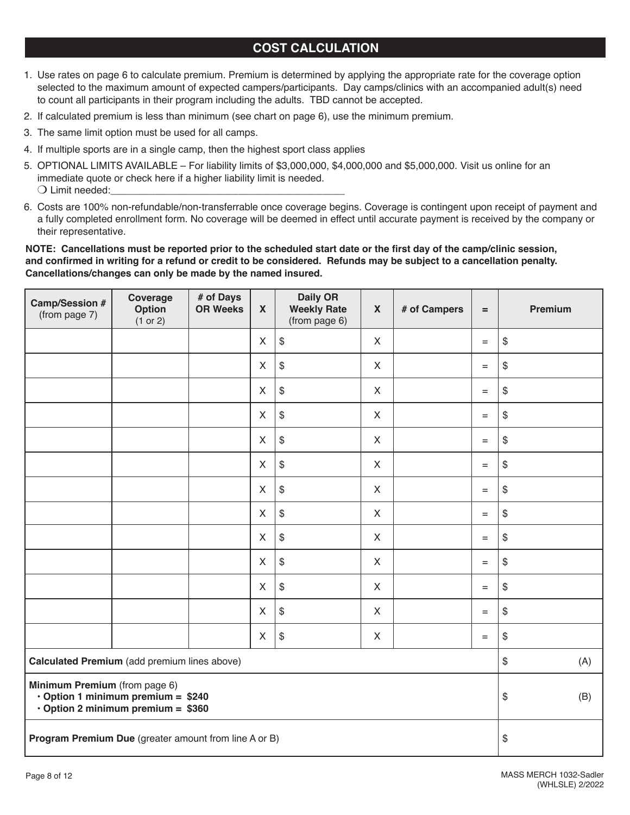# **COST CALCULATION**

- 1. Use rates on page 6 to calculate premium. Premium is determined by applying the appropriate rate for the coverage option selected to the maximum amount of expected campers/participants. Day camps/clinics with an accompanied adult(s) need to count all participants in their program including the adults. TBD cannot be accepted.
- 2. If calculated premium is less than minimum (see chart on page 6), use the minimum premium.
- 3. The same limit option must be used for all camps.
- 4. If multiple sports are in a single camp, then the highest sport class applies
- 5. OPTIONAL LIMITS AVAILABLE For liability limits of \$3,000,000, \$4,000,000 and \$5,000,000. Visit us online for an immediate quote or check here if a higher liability limit is needed.  $\bigcirc$  Limit needed:
- 6. Costs are 100% non-refundable/non-transferrable once coverage begins. Coverage is contingent upon receipt of payment and a fully completed enrollment form. No coverage will be deemed in effect until accurate payment is received by the company or their representative.

## **NOTE: Cancellations must be reported prior to the scheduled start date or the first day of the camp/clinic session, and confirmed in writing for a refund or credit to be considered. Refunds may be subject to a cancellation penalty. Cancellations/changes can only be made by the named insured.**

| Camp/Session #<br>(from page 7)                                                                                       | Coverage<br>Option<br>(1 or 2) | # of Days<br><b>OR Weeks</b> | $\mathbf{x}$              | <b>Daily OR</b><br><b>Weekly Rate</b><br>(from page 6) | $\mathbf{x}$ | # of Campers | $=$       | Premium |
|-----------------------------------------------------------------------------------------------------------------------|--------------------------------|------------------------------|---------------------------|--------------------------------------------------------|--------------|--------------|-----------|---------|
|                                                                                                                       |                                |                              | $\mathsf{X}$              | $$\mathbb{S}$$                                         | $\mathsf{X}$ |              | $=$       | $\$\$   |
|                                                                                                                       |                                |                              | $\boldsymbol{\mathsf{X}}$ | $$\mathbb{S}$$                                         | $\mathsf{X}$ |              | $\equiv$  | \$      |
|                                                                                                                       |                                |                              | $\boldsymbol{\mathsf{X}}$ | $$\mathbb{S}$$                                         | $\mathsf{X}$ |              | $\equiv$  | \$      |
|                                                                                                                       |                                |                              | $\boldsymbol{\mathsf{X}}$ | $$\mathbb{S}$$                                         | $\mathsf{X}$ |              | $\equiv$  | \$      |
|                                                                                                                       |                                |                              | $\boldsymbol{\mathsf{X}}$ | $$\mathbb{S}$$                                         | $\mathsf{X}$ |              | $=$       | \$      |
|                                                                                                                       |                                |                              | $\boldsymbol{\mathsf{X}}$ | $$\mathbb{S}$$                                         | $\mathsf{X}$ |              | $\equiv$  | \$      |
|                                                                                                                       |                                |                              | $\boldsymbol{\mathsf{X}}$ | $$\mathbb{S}$$                                         | $\sf X$      |              | $=$       | \$      |
|                                                                                                                       |                                |                              | $\boldsymbol{\mathsf{X}}$ | $\, \, \raisebox{12pt}{$\scriptstyle \$}$              | $\mathsf{X}$ |              | $\equiv$  | \$      |
|                                                                                                                       |                                |                              | X                         | $\, \, \raisebox{12pt}{$\scriptstyle \$}$              | $\mathsf X$  |              | $=$       | \$      |
|                                                                                                                       |                                |                              | X                         | $\, \, \raisebox{12pt}{$\scriptstyle \$}$              | $\mathsf X$  |              | $=$       | \$      |
|                                                                                                                       |                                |                              | $\sf X$                   | $\, \, \raisebox{12pt}{$\scriptstyle \$}$              | $\mathsf X$  |              | $=$       | $\$\,$  |
|                                                                                                                       |                                |                              | X                         | $\, \, \raisebox{12pt}{$\scriptstyle \$}$              | $\mathsf X$  |              | $=$       | \$      |
|                                                                                                                       |                                |                              | X                         | $\$\,$                                                 | X            |              | $\quad =$ | \$      |
| Calculated Premium (add premium lines above)                                                                          |                                |                              |                           |                                                        | \$<br>(A)    |              |           |         |
| Minimum Premium (from page 6)<br>$\cdot$ Option 1 minimum premium = \$240<br>$\cdot$ Option 2 minimum premium = \$360 |                                |                              |                           |                                                        | \$<br>(B)    |              |           |         |
| Program Premium Due (greater amount from line A or B)                                                                 |                                |                              |                           |                                                        | \$           |              |           |         |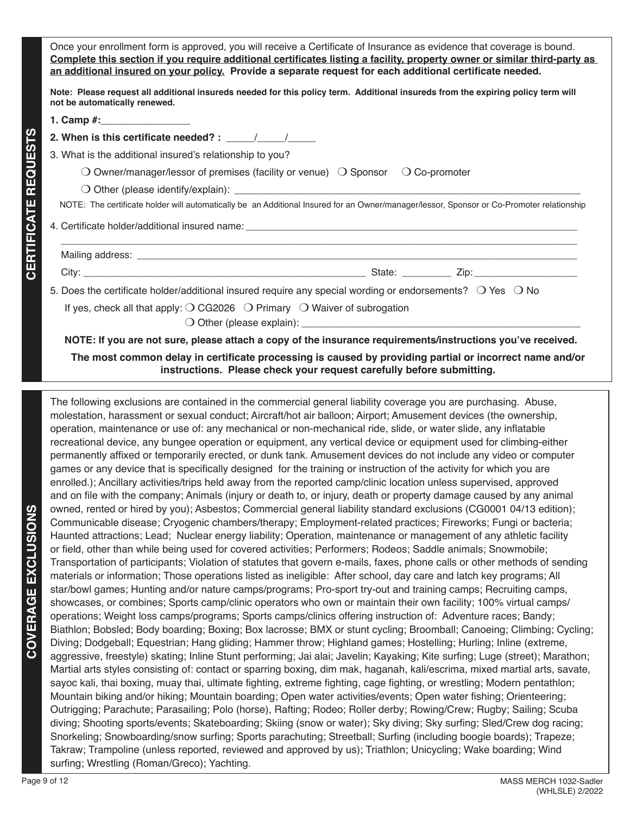Once your enrollment form is approved, you will receive a Certificate of Insurance as evidence that coverage is bound. **Complete this section if you require additional certificates listing a facility, property owner or similar third-party as an additional insured on your policy. Provide a separate request for each additional certificate needed.** 

**Note: Please request all additional insureds needed for this policy term. Additional insureds from the expiring policy term will not be automatically renewed.** 

**1. Camp #:**\_\_\_\_\_\_\_\_\_\_\_\_\_\_\_\_

**CERTIFICATE REQUESTS**

**CERTIFICATE REQUESTS** 

- 2. When is this certificate needed? : \_\_\_\_\_\_/\_\_\_\_\_\_/
- 3. What is the additional insured's relationship to you?

O Owner/manager/lessor of premises (facility or venue)  $\bigcirc$  Sponsor  $\bigcirc$  Co-promoter

 $\bigcirc$  Other (please identify/explain):

NOTE: The certificate holder will automatically be an Additional Insured for an Owner/manager/lessor, Sponsor or Co-Promoter relationship

 $\overline{\phantom{a}}$  , and the contribution of the contribution of the contribution of the contribution of the contribution of the contribution of the contribution of the contribution of the contribution of the contribution of the

4. Certificate holder/additional insured name:

Mailing address: \_\_\_\_\_\_\_\_\_\_\_\_\_\_\_\_\_\_\_\_\_\_\_\_\_\_\_\_\_\_\_\_\_\_\_\_\_\_\_\_\_\_\_\_\_\_\_\_\_\_\_\_\_\_\_\_\_\_\_\_\_\_\_\_\_\_\_\_\_\_\_\_\_\_\_\_\_\_\_\_\_

City: \_\_\_\_\_\_\_\_\_\_\_\_\_\_\_\_\_\_\_\_\_\_\_\_\_\_\_\_\_\_\_\_\_\_\_\_\_\_\_\_\_\_\_\_\_\_\_\_\_\_\_\_ State: \_\_\_\_\_\_\_\_\_ Zip:\_\_\_\_\_\_\_\_\_\_\_\_\_\_\_\_\_\_\_

5. Does the certificate holder/additional insured require any special wording or endorsements?  $\circ$  Yes  $\circ$  No

If yes, check all that apply:  $\bigcirc$  CG2026  $\bigcirc$  Primary  $\bigcirc$  Waiver of subrogation

 $\bigcirc$  Other (please explain):  $\_$ 

**NOTE: If you are not sure, please attach a copy of the insurance requirements/instructions you've received.**

**The most common delay in certificate processing is caused by providing partial or incorrect name and/or instructions. Please check your request carefully before submitting.**

The following exclusions are contained in the commercial general liability coverage you are purchasing. Abuse, molestation, harassment or sexual conduct; Aircraft/hot air balloon; Airport; Amusement devices (the ownership, operation, maintenance or use of: any mechanical or non-mechanical ride, slide, or water slide, any inflatable recreational device, any bungee operation or equipment, any vertical device or equipment used for climbing-either permanently affixed or temporarily erected, or dunk tank. Amusement devices do not include any video or computer games or any device that is specifically designed for the training or instruction of the activity for which you are enrolled.); Ancillary activities/trips held away from the reported camp/clinic location unless supervised, approved and on file with the company; Animals (injury or death to, or injury, death or property damage caused by any animal owned, rented or hired by you); Asbestos; Commercial general liability standard exclusions (CG0001 04/13 edition); Communicable disease; Cryogenic chambers/therapy; Employment-related practices; Fireworks; Fungi or bacteria; Haunted attractions; Lead; Nuclear energy liability; Operation, maintenance or management of any athletic facility or field, other than while being used for covered activities; Performers; Rodeos; Saddle animals; Snowmobile; Transportation of participants; Violation of statutes that govern e-mails, faxes, phone calls or other methods of sending materials or information; Those operations listed as ineligible: After school, day care and latch key programs; All star/bowl games; Hunting and/or nature camps/programs; Pro-sport try-out and training camps; Recruiting camps, showcases, or combines; Sports camp/clinic operators who own or maintain their own facility; 100% virtual camps/ operations; Weight loss camps/programs; Sports camps/clinics offering instruction of: Adventure races; Bandy; Biathlon; Bobsled; Body boarding; Boxing; Box lacrosse; BMX or stunt cycling; Broomball; Canoeing; Climbing; Cycling; Diving; Dodgeball; Equestrian; Hang gliding; Hammer throw; Highland games; Hostelling; Hurling; Inline (extreme, aggressive, freestyle) skating; Inline Stunt performing; Jai alai; Javelin; Kayaking; Kite surfing; Luge (street); Marathon; Martial arts styles consisting of: contact or sparring boxing, dim mak, haganah, kali/escrima, mixed martial arts, savate, sayoc kali, thai boxing, muay thai, ultimate fighting, extreme fighting, cage fighting, or wrestling; Modern pentathlon; Mountain biking and/or hiking; Mountain boarding; Open water activities/events; Open water fishing; Orienteering; Outrigging; Parachute; Parasailing; Polo (horse), Rafting; Rodeo; Roller derby; Rowing/Crew; Rugby; Sailing; Scuba diving; Shooting sports/events; Skateboarding; Skiing (snow or water); Sky diving; Sky surfing; Sled/Crew dog racing; Snorkeling; Snowboarding/snow surfing; Sports parachuting; Streetball; Surfing (including boogie boards); Trapeze; Takraw; Trampoline (unless reported, reviewed and approved by us); Triathlon; Unicycling; Wake boarding; Wind surfing; Wrestling (Roman/Greco); Yachting.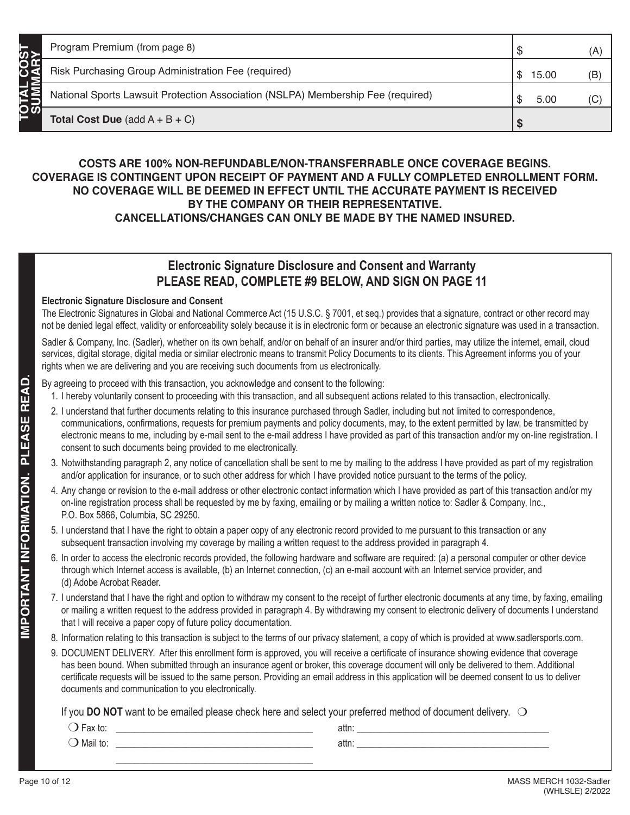## **COSTS ARE 100% NON-REFUNDABLE/NON-TRANSFERRABLE ONCE COVERAGE BEGINS. COVERAGE IS CONTINGENT UPON RECEIPT OF PAYMENT AND A FULLY COMPLETED ENROLLMENT FORM. NO COVERAGE WILL BE DEEMED IN EFFECT UNTIL THE ACCURATE PAYMENT IS RECEIVED BY THE COMPANY OR THEIR REPRESENTATIVE. CANCELLATIONS/CHANGES CAN ONLY BE MADE BY THE NAMED INSURED.**

# **Electronic Signature Disclosure and Consent and Warranty PLEASE READ, COMPLETE #9 BELOW, AND SIGN ON PAGE 11**

## **Electronic Signature Disclosure and Consent**

The Electronic Signatures in Global and National Commerce Act (15 U.S.C. § 7001, et seq.) provides that a signature, contract or other record may not be denied legal effect, validity or enforceability solely because it is in electronic form or because an electronic signature was used in a transaction.

Sadler & Company, Inc. (Sadler), whether on its own behalf, and/or on behalf of an insurer and/or third parties, may utilize the internet, email, cloud services, digital storage, digital media or similar electronic means to transmit Policy Documents to its clients. This Agreement informs you of your rights when we are delivering and you are receiving such documents from us electronically.

## By agreeing to proceed with this transaction, you acknowledge and consent to the following:

- 1. I hereby voluntarily consent to proceeding with this transaction, and all subsequent actions related to this transaction, electronically.
- 2. I understand that further documents relating to this insurance purchased through Sadler, including but not limited to correspondence, communications, confirmations, requests for premium payments and policy documents, may, to the extent permitted by law, be transmitted by electronic means to me, including by e-mail sent to the e-mail address I have provided as part of this transaction and/or my on-line registration. I consent to such documents being provided to me electronically.
- 3. Notwithstanding paragraph 2, any notice of cancellation shall be sent to me by mailing to the address I have provided as part of my registration and/or application for insurance, or to such other address for which I have provided notice pursuant to the terms of the policy.
- 4. Any change or revision to the e-mail address or other electronic contact information which I have provided as part of this transaction and/or my on-line registration process shall be requested by me by faxing, emailing or by mailing a written notice to: Sadler & Company, Inc., P.O. Box 5866, Columbia, SC 29250.
- 5. I understand that I have the right to obtain a paper copy of any electronic record provided to me pursuant to this transaction or any subsequent transaction involving my coverage by mailing a written request to the address provided in paragraph 4.
- 6. In order to access the electronic records provided, the following hardware and software are required: (a) a personal computer or other device through which Internet access is available, (b) an Internet connection, (c) an e-mail account with an Internet service provider, and (d) Adobe Acrobat Reader.
- 7. I understand that I have the right and option to withdraw my consent to the receipt of further electronic documents at any time, by faxing, emailing or mailing a written request to the address provided in paragraph 4. By withdrawing my consent to electronic delivery of documents I understand that I will receive a paper copy of future policy documentation.
- 8. Information relating to this transaction is subject to the terms of our privacy statement, a copy of which is provided at www.sadlersports.com.
- 9. DOCUMENT DELIVERY. After this enrollment form is approved, you will receive a certificate of insurance showing evidence that coverage has been bound. When submitted through an insurance agent or broker, this coverage document will only be delivered to them. Additional certificate requests will be issued to the same person. Providing an email address in this application will be deemed consent to us to deliver documents and communication to you electronically.

If you **DO NOT** want to be emailed please check here and select your preferred method of document delivery.  $\bigcirc$ 

| $\overline{\phantom{0}}$<br>Fax to: | attn: |  |
|-------------------------------------|-------|--|
| $\bigcirc$ Mail to:                 | attn: |  |
|                                     |       |  |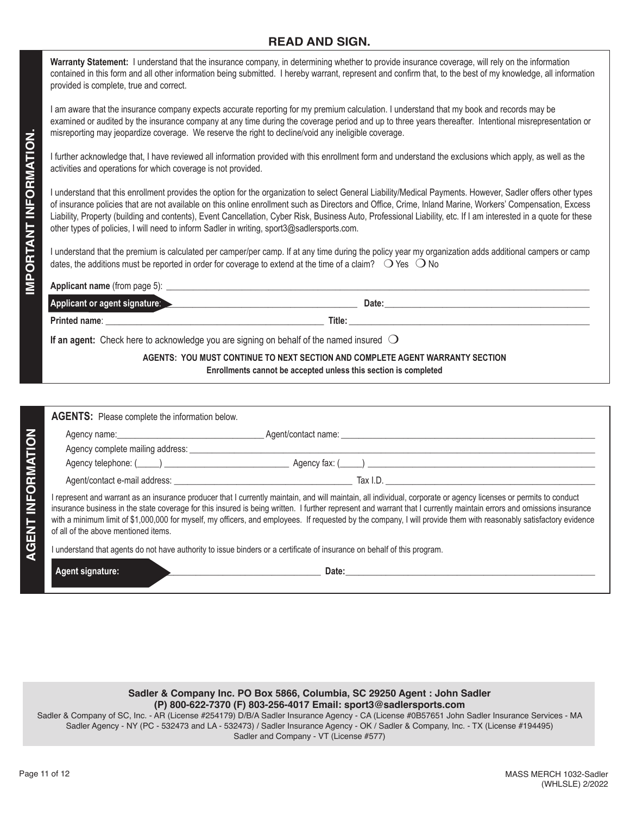## **READ AND SIGN.**

**Warranty Statement:** I understand that the insurance company, in determining whether to provide insurance coverage, will rely on the information contained in this form and all other information being submitted. I hereby warrant, represent and confirm that, to the best of my knowledge, all information provided is complete, true and correct.

I am aware that the insurance company expects accurate reporting for my premium calculation. I understand that my book and records may be examined or audited by the insurance company at any time during the coverage period and up to three years thereafter. Intentional misrepresentation or misreporting may jeopardize coverage. We reserve the right to decline/void any ineligible coverage.

I further acknowledge that, I have reviewed all information provided with this enrollment form and understand the exclusions which apply, as well as the activities and operations for which coverage is not provided.

I understand that this enrollment provides the option for the organization to select General Liability/Medical Payments. However, Sadler offers other types of insurance policies that are not available on this online enrollment such as Directors and Office, Crime, Inland Marine, Workers' Compensation, Excess Liability, Property (building and contents), Event Cancellation, Cyber Risk, Business Auto, Professional Liability, etc. If I am interested in a quote for these other types of policies, I will need to inform Sadler in writing, sport3@sadlersports.com.

I understand that the premium is calculated per camper/per camp. If at any time during the policy year my organization adds additional campers or camp dates, the additions must be reported in order for coverage to extend at the time of a claim?  $\bigcirc$  Yes  $\bigcirc$  No

| Applicant or agent signature:                                                                    | Date:  |
|--------------------------------------------------------------------------------------------------|--------|
| Printed name:                                                                                    | Title: |
| If an agent: Check here to acknowledge you are signing on behalf of the named insured $\bigcirc$ |        |

**AGENTS: YOU MUST CONTINUE TO NEXT SECTION AND COMPLETE AGENT WARRANTY SECTION Enrollments cannot be accepted unless this section is completed**

| <b>AGENTS:</b> Please complete the information below.                                                                                                             |                                                                                                                                                                                                                                |
|-------------------------------------------------------------------------------------------------------------------------------------------------------------------|--------------------------------------------------------------------------------------------------------------------------------------------------------------------------------------------------------------------------------|
|                                                                                                                                                                   |                                                                                                                                                                                                                                |
|                                                                                                                                                                   |                                                                                                                                                                                                                                |
|                                                                                                                                                                   | Agency fax: () and a set of the set of the set of the set of the set of the set of the set of the set of the set of the set of the set of the set of the set of the set of the set of the set of the set of the set of the set |
|                                                                                                                                                                   | Tax I.D.                                                                                                                                                                                                                       |
| I represent and warrant as an insurance producer that I currently maintain, and will maintain, all individual, corporate or agency licenses or permits to conduct |                                                                                                                                                                                                                                |

insurance business in the state coverage for this insured is being written. I further represent and warrant that I currently maintain errors and omissions insurance with a minimum limit of \$1,000,000 for myself, my officers, and employees. If requested by the company, I will provide them with reasonably satisfactory evidence of all of the above mentioned items.

I understand that agents do not have authority to issue binders or a certificate of insurance on behalf of this program.

 **Agent signature:** \_\_\_\_\_\_\_\_\_\_\_\_\_\_\_\_\_\_\_\_\_\_\_\_\_\_\_\_\_\_\_\_\_\_\_\_\_\_\_\_\_\_\_\_ **Date:\_\_\_\_\_\_\_\_\_\_\_\_\_\_\_\_\_\_\_\_\_\_\_\_\_\_\_\_\_\_\_\_\_\_\_\_\_\_\_\_\_\_\_\_\_\_\_\_\_\_\_\_\_\_\_\_**

### **Sadler & Company Inc. PO Box 5866, Columbia, SC 29250 Agent : John Sadler (P) 800-622-7370 (F) 803-256-4017 Email: sport3@sadlersports.com**

Sadler & Company of SC, Inc. - AR (License #254179) D/B/A Sadler Insurance Agency - CA (License #0B57651 John Sadler Insurance Services - MA Sadler Agency - NY (PC - 532473 and LA - 532473) / Sadler Insurance Agency - OK / Sadler & Company, Inc. - TX (License #194495) Sadler and Company - VT (License #577)

**AGENT INFORMATION**

**AGENT INFORMATION**